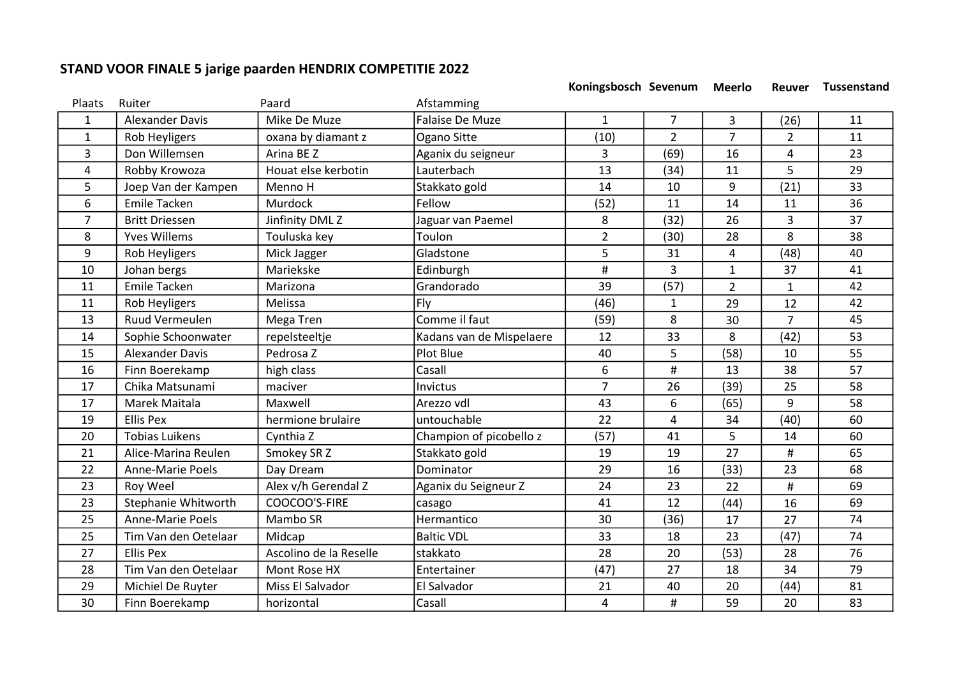## STAND VOOR FINALE 5 jarige paarden HENDRIX COMPETITIE 2022

Koningsbosch Sevenum Meerlo Reuver Tussenstand

| Plaats         | Ruiter                  | Paard                  | Afstamming               |                |                |                |                |    |
|----------------|-------------------------|------------------------|--------------------------|----------------|----------------|----------------|----------------|----|
| 1              | <b>Alexander Davis</b>  | Mike De Muze           | Falaise De Muze          | $\mathbf{1}$   | $\overline{7}$ | 3              | (26)           | 11 |
| $\mathbf{1}$   | <b>Rob Heyligers</b>    | oxana by diamant z     | Ogano Sitte              | (10)           | $\overline{2}$ | $\overline{7}$ | $\overline{2}$ | 11 |
| 3              | Don Willemsen           | Arina BE Z             | Aganix du seigneur       | 3              | (69)           | 16             | 4              | 23 |
| 4              | Robby Krowoza           | Houat else kerbotin    | Lauterbach               | 13             | (34)           | 11             | 5              | 29 |
| 5              | Joep Van der Kampen     | Menno H                | Stakkato gold            | 14             | 10             | 9              | (21)           | 33 |
| 6              | <b>Emile Tacken</b>     | Murdock                | Fellow                   | (52)           | 11             | 14             | 11             | 36 |
| $\overline{7}$ | <b>Britt Driessen</b>   | Jinfinity DML Z        | Jaguar van Paemel        | 8              | (32)           | 26             | 3              | 37 |
| 8              | <b>Yves Willems</b>     | Touluska key           | Toulon                   | $\overline{2}$ | (30)           | 28             | 8              | 38 |
| 9              | Rob Heyligers           | Mick Jagger            | Gladstone                | 5              | 31             | 4              | (48)           | 40 |
| 10             | Johan bergs             | Mariekske              | Edinburgh                | $\#$           | 3              | $\mathbf{1}$   | 37             | 41 |
| 11             | <b>Emile Tacken</b>     | Marizona               | Grandorado               | 39             | (57)           | $\overline{2}$ | 1              | 42 |
| 11             | Rob Heyligers           | Melissa                | Fly                      | (46)           | $\mathbf{1}$   | 29             | 12             | 42 |
| 13             | Ruud Vermeulen          | Mega Tren              | Comme il faut            | (59)           | 8              | 30             | $\overline{7}$ | 45 |
| 14             | Sophie Schoonwater      | repelsteeltje          | Kadans van de Mispelaere | 12             | 33             | 8              | (42)           | 53 |
| 15             | <b>Alexander Davis</b>  | Pedrosa Z              | Plot Blue                | 40             | 5              | (58)           | 10             | 55 |
| 16             | Finn Boerekamp          | high class             | Casall                   | 6              | #              | 13             | 38             | 57 |
| 17             | Chika Matsunami         | maciver                | Invictus                 | $\overline{7}$ | 26             | (39)           | 25             | 58 |
| 17             | Marek Maitala           | Maxwell                | Arezzo vdl               | 43             | 6              | (65)           | 9              | 58 |
| 19             | <b>Ellis Pex</b>        | hermione brulaire      | untouchable              | 22             | $\overline{4}$ | 34             | (40)           | 60 |
| 20             | <b>Tobias Luikens</b>   | Cynthia Z              | Champion of picobello z  | (57)           | 41             | 5              | 14             | 60 |
| 21             | Alice-Marina Reulen     | Smokey SR Z            | Stakkato gold            | 19             | 19             | 27             | #              | 65 |
| 22             | Anne-Marie Poels        | Day Dream              | Dominator                | 29             | 16             | (33)           | 23             | 68 |
| 23             | Roy Weel                | Alex v/h Gerendal Z    | Aganix du Seigneur Z     | 24             | 23             | 22             | #              | 69 |
| 23             | Stephanie Whitworth     | COOCOO'S-FIRE          | casago                   | 41             | 12             | (44)           | 16             | 69 |
| 25             | <b>Anne-Marie Poels</b> | Mambo SR               | Hermantico               | 30             | (36)           | 17             | 27             | 74 |
| 25             | Tim Van den Oetelaar    | Midcap                 | <b>Baltic VDL</b>        | 33             | 18             | 23             | (47)           | 74 |
| 27             | <b>Ellis Pex</b>        | Ascolino de la Reselle | stakkato                 | 28             | 20             | (53)           | 28             | 76 |
| 28             | Tim Van den Oetelaar    | Mont Rose HX           | Entertainer              | (47)           | 27             | 18             | 34             | 79 |
| 29             | Michiel De Ruyter       | Miss El Salvador       | El Salvador              | 21             | 40             | 20             | (44)           | 81 |
| 30             | Finn Boerekamp          | horizontal             | Casall                   | 4              | #              | 59             | 20             | 83 |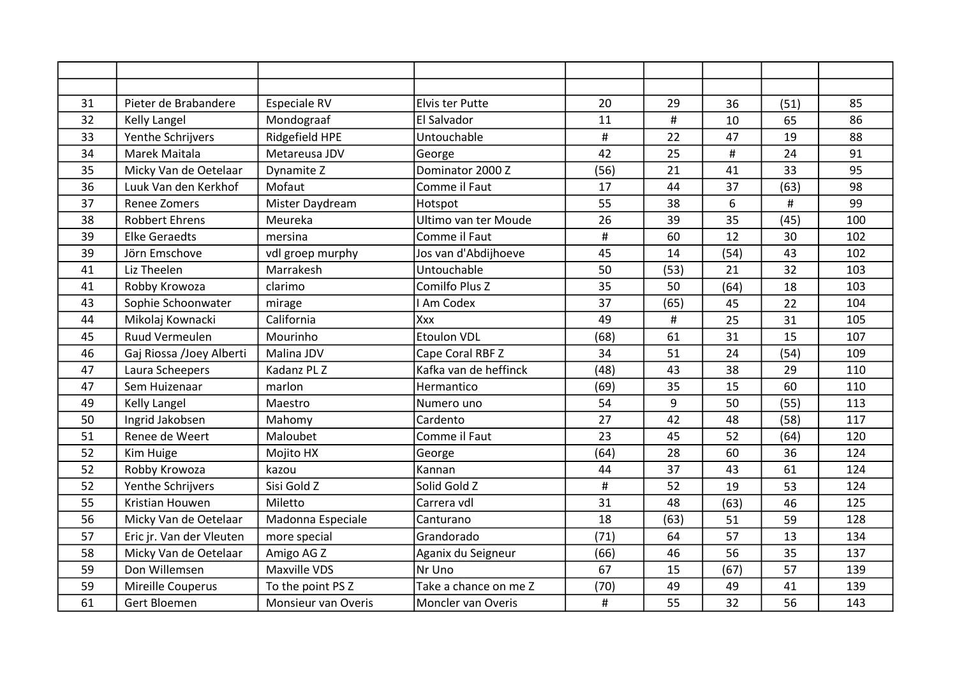| 31 | Pieter de Brabandere     | Especiale RV        | Elvis ter Putte       | 20   | 29   | 36   | (51) | 85  |
|----|--------------------------|---------------------|-----------------------|------|------|------|------|-----|
| 32 | <b>Kelly Langel</b>      | Mondograaf          | El Salvador           | 11   | #    | 10   | 65   | 86  |
| 33 | Yenthe Schrijvers        | Ridgefield HPE      | Untouchable           | #    | 22   | 47   | 19   | 88  |
| 34 | Marek Maitala            | Metareusa JDV       | George                | 42   | 25   | #    | 24   | 91  |
| 35 | Micky Van de Oetelaar    | Dynamite Z          | Dominator 2000 Z      | (56) | 21   | 41   | 33   | 95  |
| 36 | Luuk Van den Kerkhof     | Mofaut              | Comme il Faut         | 17   | 44   | 37   | (63) | 98  |
| 37 | <b>Renee Zomers</b>      | Mister Daydream     | Hotspot               | 55   | 38   | 6    | #    | 99  |
| 38 | <b>Robbert Ehrens</b>    | Meureka             | Ultimo van ter Moude  | 26   | 39   | 35   | (45) | 100 |
| 39 | <b>Elke Geraedts</b>     | mersina             | Comme il Faut         | #    | 60   | 12   | 30   | 102 |
| 39 | Jörn Emschove            | vdl groep murphy    | Jos van d'Abdijhoeve  | 45   | 14   | (54) | 43   | 102 |
| 41 | Liz Theelen              | Marrakesh           | Untouchable           | 50   | (53) | 21   | 32   | 103 |
| 41 | Robby Krowoza            | clarimo             | Comilfo Plus Z        | 35   | 50   | (64) | 18   | 103 |
| 43 | Sophie Schoonwater       | mirage              | <b>I Am Codex</b>     | 37   | (65) | 45   | 22   | 104 |
| 44 | Mikolaj Kownacki         | California          | Xxx                   | 49   | #    | 25   | 31   | 105 |
| 45 | <b>Ruud Vermeulen</b>    | Mourinho            | <b>Etoulon VDL</b>    | (68) | 61   | 31   | 15   | 107 |
| 46 | Gaj Riossa /Joey Alberti | Malina JDV          | Cape Coral RBF Z      | 34   | 51   | 24   | (54) | 109 |
| 47 | Laura Scheepers          | Kadanz PL Z         | Kafka van de heffinck | (48) | 43   | 38   | 29   | 110 |
| 47 | Sem Huizenaar            | marlon              | Hermantico            | (69) | 35   | 15   | 60   | 110 |
| 49 | <b>Kelly Langel</b>      | Maestro             | Numero uno            | 54   | 9    | 50   | (55) | 113 |
| 50 | Ingrid Jakobsen          | Mahomy              | Cardento              | 27   | 42   | 48   | (58) | 117 |
| 51 | Renee de Weert           | Maloubet            | Comme il Faut         | 23   | 45   | 52   | (64) | 120 |
| 52 | Kim Huige                | Mojito HX           | George                | (64) | 28   | 60   | 36   | 124 |
| 52 | Robby Krowoza            | kazou               | Kannan                | 44   | 37   | 43   | 61   | 124 |
| 52 | Yenthe Schrijvers        | Sisi Gold Z         | Solid Gold Z          | $\#$ | 52   | 19   | 53   | 124 |
| 55 | Kristian Houwen          | Miletto             | Carrera vdl           | 31   | 48   | (63) | 46   | 125 |
| 56 | Micky Van de Oetelaar    | Madonna Especiale   | Canturano             | 18   | (63) | 51   | 59   | 128 |
| 57 | Eric jr. Van der Vleuten | more special        | Grandorado            | (71) | 64   | 57   | 13   | 134 |
| 58 | Micky Van de Oetelaar    | Amigo AG Z          | Aganix du Seigneur    | (66) | 46   | 56   | 35   | 137 |
| 59 | Don Willemsen            | <b>Maxville VDS</b> | Nr Uno                | 67   | 15   | (67) | 57   | 139 |
| 59 | Mireille Couperus        | To the point PS Z   | Take a chance on me Z | (70) | 49   | 49   | 41   | 139 |
| 61 | Gert Bloemen             | Monsieur van Overis | Moncler van Overis    | $\#$ | 55   | 32   | 56   | 143 |